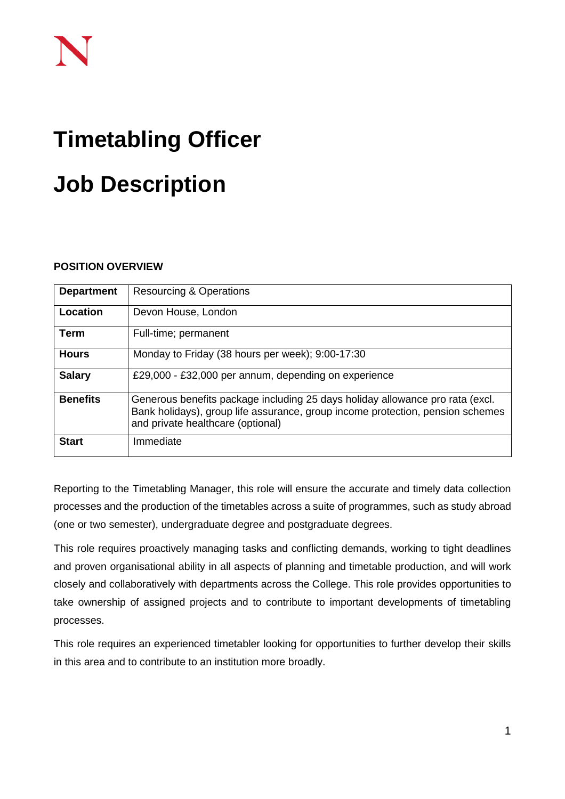# **Timetabling Officer**

# **Job Description**

# **POSITION OVERVIEW**

| <b>Department</b> | <b>Resourcing &amp; Operations</b>                                                                                                                                                                   |
|-------------------|------------------------------------------------------------------------------------------------------------------------------------------------------------------------------------------------------|
| Location          | Devon House, London                                                                                                                                                                                  |
| <b>Term</b>       | Full-time; permanent                                                                                                                                                                                 |
| <b>Hours</b>      | Monday to Friday (38 hours per week); 9:00-17:30                                                                                                                                                     |
| <b>Salary</b>     | £29,000 - £32,000 per annum, depending on experience                                                                                                                                                 |
| <b>Benefits</b>   | Generous benefits package including 25 days holiday allowance pro rata (excl.<br>Bank holidays), group life assurance, group income protection, pension schemes<br>and private healthcare (optional) |
| <b>Start</b>      | Immediate                                                                                                                                                                                            |

Reporting to the Timetabling Manager, this role will ensure the accurate and timely data collection processes and the production of the timetables across a suite of programmes, such as study abroad (one or two semester), undergraduate degree and postgraduate degrees.

This role requires proactively managing tasks and conflicting demands, working to tight deadlines and proven organisational ability in all aspects of planning and timetable production, and will work closely and collaboratively with departments across the College. This role provides opportunities to take ownership of assigned projects and to contribute to important developments of timetabling processes.

This role requires an experienced timetabler looking for opportunities to further develop their skills in this area and to contribute to an institution more broadly.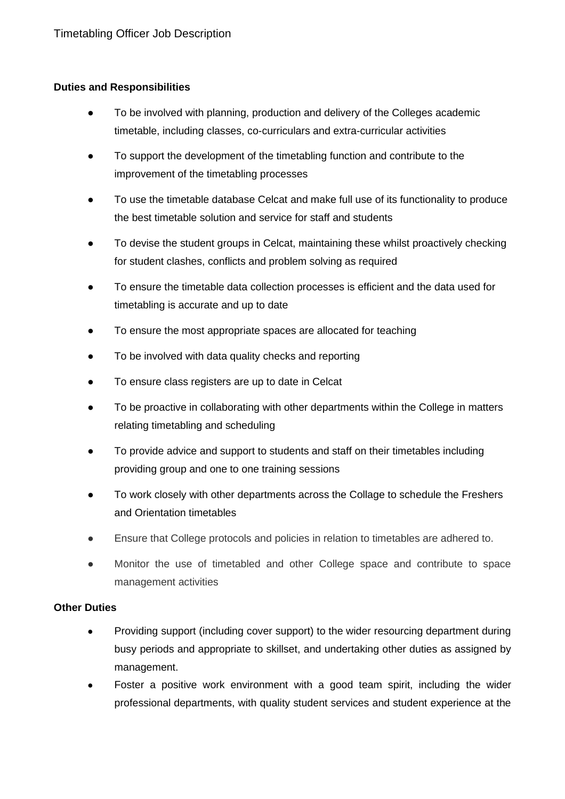# **Duties and Responsibilities**

- To be involved with planning, production and delivery of the Colleges academic timetable, including classes, co-curriculars and extra-curricular activities
- To support the development of the timetabling function and contribute to the improvement of the timetabling processes
- To use the timetable database Celcat and make full use of its functionality to produce the best timetable solution and service for staff and students
- To devise the student groups in Celcat, maintaining these whilst proactively checking for student clashes, conflicts and problem solving as required
- To ensure the timetable data collection processes is efficient and the data used for timetabling is accurate and up to date
- To ensure the most appropriate spaces are allocated for teaching
- To be involved with data quality checks and reporting
- To ensure class registers are up to date in Celcat
- To be proactive in collaborating with other departments within the College in matters relating timetabling and scheduling
- To provide advice and support to students and staff on their timetables including providing group and one to one training sessions
- To work closely with other departments across the Collage to schedule the Freshers and Orientation timetables
- Ensure that College protocols and policies in relation to timetables are adhered to.
- Monitor the use of timetabled and other College space and contribute to space management activities

#### **Other Duties**

- Providing support (including cover support) to the wider resourcing department during busy periods and appropriate to skillset, and undertaking other duties as assigned by management.
- Foster a positive work environment with a good team spirit, including the wider professional departments, with quality student services and student experience at the